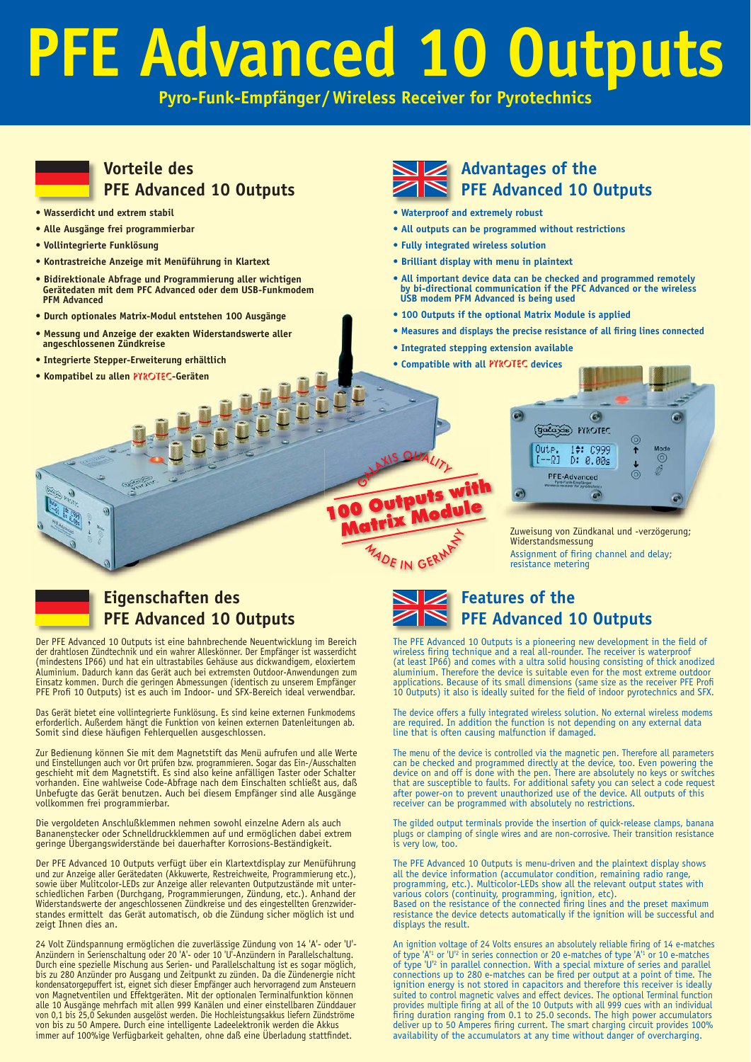# **PFE Advanced 10 Outputs**

**Pyro-Funk-Empfänger/Wireless Receiver for Pyrotechnics**

# **Vorteile des PFE Advanced 10 Outputs**

- **Wasserdicht und extrem stabil**
- **Alle Ausgänge frei programmierbar**
- **Vollintegrierte Funklösung**
- **Kontrastreiche Anzeige mit Menüführung in Klartext**
- **Bidirektionale Abfrage und Programmierung aller wichtigen Gerätedaten mit dem PFC Advanced oder dem USB-Funkmodem PFM Advanced**
- **Durch optionales Matrix-Modul entstehen 100 Ausgänge**
- **Messung und Anzeige der exakten Widerstandswerte aller angeschlossenen Zündkreise allen PYROTEC-Geräten Mathematics and Servester and Servester and Servester and Servester and Servester and Servester and Servester and Servester and Servester and Servester and Servester and Servester and Servester and S**
- **Integrierte Stepper-Erweiterung erhältlich**
- **Kompatibel zu allen** PYROTEC**-Geräten**



- Advantages of the **PFE Advanced 10 Outputs**
- **Waterproof and extremely robust**
- **All outputs can be programmed without restrictions**
- **Fully integrated wireless solution**
- **Brilliant display with menu in plaintext**
- **All important device data can be checked and programmed remotely by bi-directional communication if the PFC Advanced or the wireless USB modem PFM Advanced is being used**
- **100 Outputs if the optional Matrix Module is applied**
- Measures and displays the precise resistance of all firing lines connected
- **Integrated stepping extension available**
- **Compatible with all PYROTEC devices**



Zuweisung von Zündkanal und -verzögerung; Widerstandsmessung Assignment of firing channel and delay; resistance metering



# **Eigenschaften des PFE Advanced 10 Outputs**

Der PFE Advanced 10 Outputs ist eine bahnbrechende Neuentwicklung im Bereich der drahtlosen Zündtechnik und ein wahrer Alleskönner. Der Empfänger ist wasserdicht (mindestens IP66) und hat ein ultrastabiles Gehäuse aus dickwandigem, eloxiertem Aluminium. Dadurch kann das Gerät auch bei extremsten Outdoor-Anwendungen zum Einsatz kommen. Durch die geringen Abmessungen (identisch zu unserem Empfänger PFE Profi 10 Outputs) ist es auch im Indoor- und SFX-Bereich ideal verwendbar.

Das Gerät bietet eine vollintegrierte Funklösung. Es sind keine externen Funkmodems erforderlich. Außerdem hängt die Funktion von keinen externen Datenleitungen ab. Somit sind diese häufi gen Fehlerquellen ausgeschlossen.

Zur Bedienung können Sie mit dem Magnetstift das Menü aufrufen und alle Werte und Einstellungen auch vor Ort prüfen bzw. programmieren. Sogar das Ein-/Ausschalten geschieht mit dem Magnetstift. Es sind also keine anfälligen Taster oder Schalter vorhanden. Eine wahlweise Code-Abfrage nach dem Einschalten schließt aus, daß Unbefugte das Gerät benutzen. Auch bei diesem Empfänger sind alle Ausgänge vollkommen frei programmierbar.

Die vergoldeten Anschlußklemmen nehmen sowohl einzelne Adern als auch Bananenstecker oder Schnelldruckklemmen auf und ermöglichen dabei extrem geringe Übergangswiderstände bei dauerhafter Korrosions-Beständigkeit.

Der PFE Advanced 10 Outputs verfügt über ein Klartextdisplay zur Menüführung und zur Anzeige aller Gerätedaten (Akkuwerte, Restreichweite, Programmierung etc.), sowie über Mulitcolor-LEDs zur Anzeige aller relevanten Outputzustände mit unterschiedlichen Farben (Durchgang, Programmierungen, Zündung, etc.). Anhand der Widerstandswerte der angeschlossenen Zündkreise und des eingestellten Grenzwider-standes ermittelt das Gerät automatisch, ob die Zündung sicher möglich ist und zeigt Ihnen dies an.

24 Volt Zündspannung ermöglichen die zuverlässige Zündung von 14 'A'- oder 'U'- Anzündern in Serienschaltung oder 20 'A'- oder 10 'U'-Anzündern in Parallelschaltung. Durch eine spezielle Mischung aus Serien- und Parallelschaltung ist es sogar möglich, bis zu 280 Anzünder pro Ausgang und Zeitpunkt zu zünden. Da die Zündenergie nicht kondensatorgepuffert ist, eignet sich dieser Empfänger auch hervorragend zum Ansteuern von Magnetventilen und Effektgeräten. Mit der optionalen Terminalfunktion können alle 10 Ausgänge mehrfach mit allen 999 Kanälen und einer einstellbaren Zünddauer von 0,1 bis 25,0 Sekunden ausgelöst werden. Die Hochleistungsakkus liefern Zündströme von bis zu 50 Ampere. Durch eine intelligente Ladeelektronik werden die Akkus immer auf 100%ige Verfügbarkeit gehalten, ohne daß eine Uberladung stattfindet.



**100 Outputs with** 

MADE IN GERMI

# **Features of the PFE Advanced 10 Outputs**

The PFE Advanced 10 Outputs is a pioneering new development in the field of wireless firing technique and a real all-rounder. The receiver is waterproof (at least IP66) and comes with a ultra solid housing consisting of thick anodized aluminium. Therefore the device is suitable even for the most extreme outdoor applications. Because of its small dimensions (same size as the receiver PFE Profi 10 Outputs) it also is ideally suited for the field of indoor pyrotechnics and SFX.

The device offers a fully integrated wireless solution. No external wireless modems are required. In addition the function is not depending on any external data line that is often causing malfunction if damaged.

The menu of the device is controlled via the magnetic pen. Therefore all parameters can be checked and programmed directly at the device, too. Even powering the device on and off is done with the pen. There are absolutely no keys or switches<br>that are susceptible to faults. For additional safety you can select a code request<br>after power-on to prevent unauthorized use of the device. receiver can be programmed with absolutely no restrictions.

The gilded output terminals provide the insertion of quick-release clamps, banana plugs or clamping of single wires and are non-corrosive. Their transition resistance is very low, too.

The PFE Advanced 10 Outputs is menu-driven and the plaintext display shows all the device information (accumulator condition, remaining radio range, programming, etc.). Multicolor-LEDs show all the relevant output states with various colors (continuity, programming, ignition, etc).<br>Based on the resistance of the connected firing lines and the preset maximum<br>resistance the device detects automatically if the ignition will be successful and displays the result.

An ignition voltage of 24 Volts ensures an absolutely reliable firing of 14 e-matches of type 'A'1 or 'U'2 in series connection or 20 e-matches of type 'A'1 or 10 e-matches of type 'U'<sup>2</sup> in parallel connection. With a special mixture of series and parallel connections up to 280 e-matches can be fired per output at a point of time. The ignition energy is not stored in capacitors and therefore suited to control magnetic valves and effect devices. The optional Terminal function provides multiple firing at all of the 10 Outputs with all 999 cues with an individual firing duration ranging from 0.1 to 25.0 seconds. The high power accumulators deliver up to 50 Amperes firing current. The smart charging circuit provides 100% availability of the accumulators at any time without danger of overcharging.